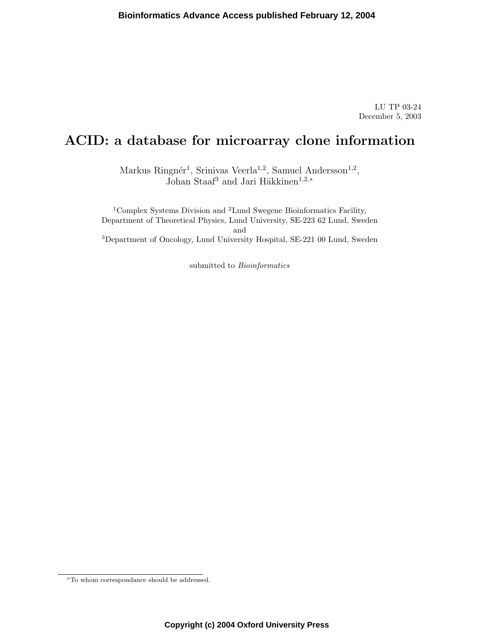LU TP 03-24 December 5, 2003

# ACID: a database for microarray clone information

Markus Ringnér<sup>1</sup>, Srinivas Veerla<sup>1,2</sup>, Samuel Andersson<sup>1,2</sup>, Johan Staaf<sup>3</sup> and Jari Häkkinen<sup>1,2,∗</sup>

 $^1\mathrm{Complex}$  Systems Division and  $^2\mathrm{Lund}$  Swegene Bioinformatics Facility, Department of Theoretical Physics, Lund University, SE-223 62 Lund, Sweden and <sup>3</sup>Department of Oncology, Lund University Hospital, SE-221 00 Lund, Sweden

submitted to *Bioinformatics* 

<sup>∗</sup>To whom correspondance should be addressed.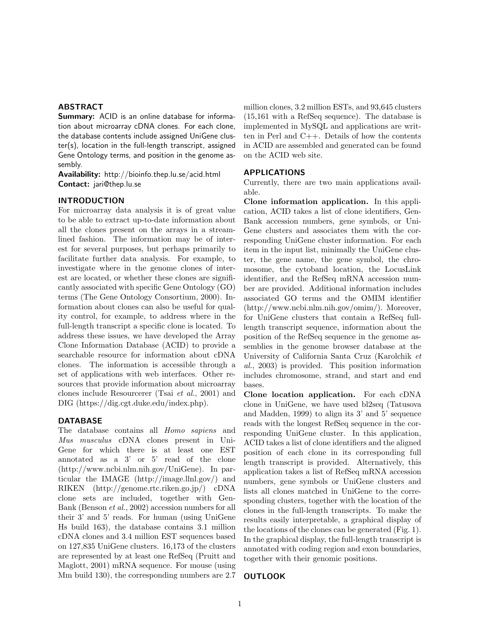## ABSTRACT

**Summary:** ACID is an online database for information about microarray cDNA clones. For each clone, the database contents include assigned UniGene cluster(s), location in the full-length transcript, assigned Gene Ontology terms, and position in the genome assembly.

Availability: http://bioinfo.thep.lu.se/acid.html Contact: jari@thep.lu.se

## INTRODUCTION

For microarray data analysis it is of great value to be able to extract up-to-date information about all the clones present on the arrays in a streamlined fashion. The information may be of interest for several purposes, but perhaps primarily to facilitate further data analysis. For example, to investigate where in the genome clones of interest are located, or whether these clones are significantly associated with specific Gene Ontology (GO) terms (The Gene Ontology Consortium, 2000). Information about clones can also be useful for quality control, for example, to address where in the full-length transcript a specific clone is located. To address these issues, we have developed the Array Clone Information Database (ACID) to provide a searchable resource for information about cDNA clones. The information is accessible through a set of applications with web interfaces. Other resources that provide information about microarray clones include Resourcerer (Tsai et al., 2001) and DIG (https://dig.cgt.duke.edu/index.php).

## DATABASE

The database contains all Homo sapiens and Mus musculus cDNA clones present in Uni-Gene for which there is at least one EST annotated as a 3' or 5' read of the clone (http://www.ncbi.nlm.nih.gov/UniGene). In particular the IMAGE (http://image.llnl.gov/) and RIKEN (http://genome.rtc.riken.go.jp/) cDNA clone sets are included, together with Gen-Bank (Benson et al., 2002) accession numbers for all their 3' and 5' reads. For human (using UniGene Hs build 163), the database contains 3.1 million cDNA clones and 3.4 million EST sequences based on 127,835 UniGene clusters. 16,173 of the clusters are represented by at least one RefSeq (Pruitt and Maglott, 2001) mRNA sequence. For mouse (using Mm build 130), the corresponding numbers are 2.7

million clones, 3.2 million ESTs, and 93,645 clusters (15,161 with a RefSeq sequence). The database is implemented in MySQL and applications are written in Perl and C++. Details of how the contents in ACID are assembled and generated can be found on the ACID web site.

# APPLICATIONS

Currently, there are two main applications available.

Clone information application. In this application, ACID takes a list of clone identifiers, Gen-Bank accession numbers, gene symbols, or Uni-Gene clusters and associates them with the corresponding UniGene cluster information. For each item in the input list, minimally the UniGene cluster, the gene name, the gene symbol, the chromosome, the cytoband location, the LocusLink identifier, and the RefSeq mRNA accession number are provided. Additional information includes associated GO terms and the OMIM identifier (http://www.ncbi.nlm.nih.gov/omim/). Moreover, for UniGene clusters that contain a RefSeq fulllength transcript sequence, information about the position of the RefSeq sequence in the genome assemblies in the genome browser database at the University of California Santa Cruz (Karolchik et al., 2003) is provided. This position information includes chromosome, strand, and start and end bases.

Clone location application. For each cDNA clone in UniGene, we have used bl2seq (Tatusova and Madden, 1999) to align its 3' and 5' sequence reads with the longest RefSeq sequence in the corresponding UniGene cluster. In this application, ACID takes a list of clone identifiers and the aligned position of each clone in its corresponding full length transcript is provided. Alternatively, this application takes a list of RefSeq mRNA accession numbers, gene symbols or UniGene clusters and lists all clones matched in UniGene to the corresponding clusters, together with the location of the clones in the full-length transcripts. To make the results easily interpretable, a graphical display of the locations of the clones can be generated (Fig. 1). In the graphical display, the full-length transcript is annotated with coding region and exon boundaries, together with their genomic positions.

#### OUTLOOK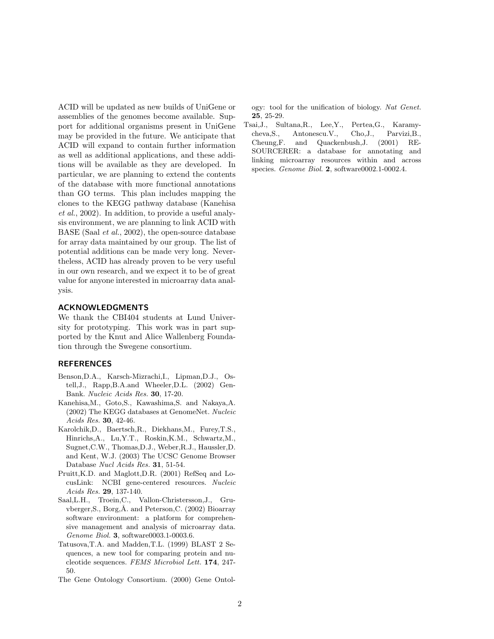ACID will be updated as new builds of UniGene or assemblies of the genomes become available. Support for additional organisms present in UniGene may be provided in the future. We anticipate that ACID will expand to contain further information as well as additional applications, and these additions will be available as they are developed. In particular, we are planning to extend the contents of the database with more functional annotations than GO terms. This plan includes mapping the clones to the KEGG pathway database (Kanehisa et al., 2002). In addition, to provide a useful analysis environment, we are planning to link ACID with BASE (Saal et al., 2002), the open-source database for array data maintained by our group. The list of potential additions can be made very long. Nevertheless, ACID has already proven to be very useful in our own research, and we expect it to be of great value for anyone interested in microarray data analysis.

## ACKNOWLEDGMENTS

We thank the CBI404 students at Lund University for prototyping. This work was in part supported by the Knut and Alice Wallenberg Foundation through the Swegene consortium.

## REFERENCES

- Benson,D.A., Karsch-Mizrachi,I., Lipman,D.J., Ostell,J., Rapp,B.A.and Wheeler,D.L. (2002) Gen-Bank. Nucleic Acids Res. 30, 17-20.
- Kanehisa,M., Goto,S., Kawashima,S. and Nakaya,A. (2002) The KEGG databases at GenomeNet. Nucleic Acids Res. 30, 42-46.
- Karolchik,D., Baertsch,R., Diekhans,M., Furey,T.S., Hinrichs,A., Lu,Y.T., Roskin,K.M., Schwartz,M., Sugnet,C.W., Thomas,D.J., Weber,R.J., Haussler,D. and Kent, W.J. (2003) The UCSC Genome Browser Database Nucl Acids Res. 31, 51-54.
- Pruitt,K.D. and Maglott,D.R. (2001) RefSeq and LocusLink: NCBI gene-centered resources. Nucleic Acids Res. 29, 137-140.
- Saal,L.H., Troein,C., Vallon-Christersson,J., Gruvberger, S., Borg,  $\AA$ . and Peterson, C. (2002) Bioarray software environment: a platform for comprehensive management and analysis of microarray data. Genome Biol. 3, software0003.1-0003.6.
- Tatusova,T.A. and Madden,T.L. (1999) BLAST 2 Sequences, a new tool for comparing protein and nucleotide sequences. FEMS Microbiol Lett. 174, 247- 50.
- The Gene Ontology Consortium. (2000) Gene Ontol-

ogy: tool for the unification of biology. Nat Genet. 25, 25-29.

Tsai,J., Sultana,R., Lee,Y., Pertea,G., Karamycheva,S., Antonescu.V., Cho,J., Parvizi,B., Cheung,F. and Quackenbush,J. (2001) RE-SOURCERER: a database for annotating and linking microarray resources within and across species. Genome Biol. 2, software0002.1-0002.4.